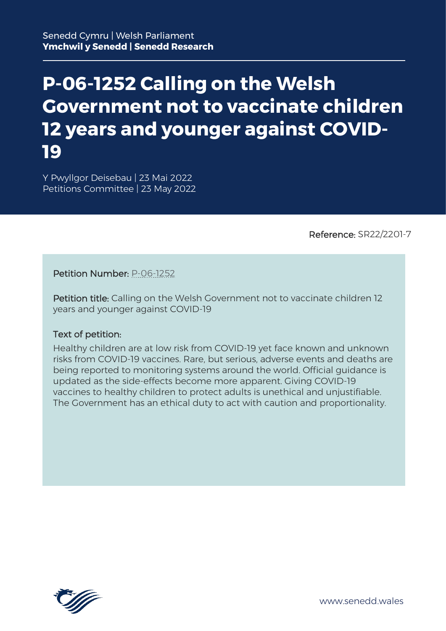# **P-06-1252 Calling on the Welsh Government not to vaccinate children 12 years and younger against COVID-19**

Y Pwyllgor Deisebau | 23 Mai 2022 Petitions Committee | 23 May 2022

Reference: SR22/2201-7

Petition Number: [P-06-1252](https://petitions.senedd.wales/petitions/244934) 

Petition title: Calling on the Welsh Government not to vaccinate children 12 years and younger against COVID-19

#### Text of petition:

Healthy children are at low risk from COVID-19 yet face known and unknown risks from COVID-19 vaccines. Rare, but serious, adverse events and deaths are being reported to monitoring systems around the world. Official guidance is updated as the side-effects become more apparent. Giving COVID-19 vaccines to healthy children to protect adults is unethical and unjustifiable. The Government has an ethical duty to act with caution and proportionality.

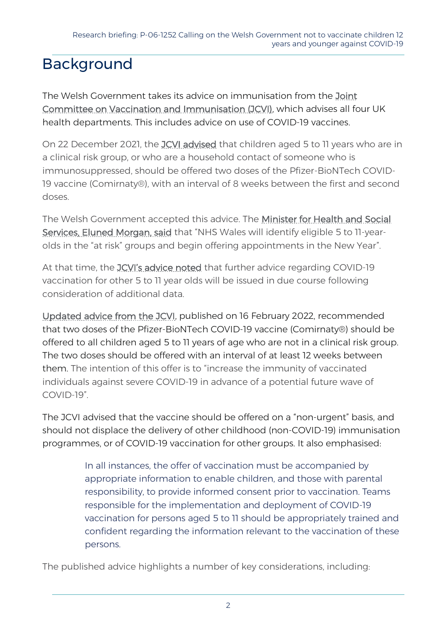## Background

The Welsh Government takes its advice on immunisation from the [Joint](https://www.gov.uk/government/groups/joint-committee-on-vaccination-and-immunisation)  [Committee on Vaccination and Immunisation \(JCVI\),](https://www.gov.uk/government/groups/joint-committee-on-vaccination-and-immunisation) which advises all four UK health departments. This includes advice on use of COVID-19 vaccines.

On 22 December 2021, the [JCVI advised](https://www.gov.uk/government/publications/jcvi-update-on-advice-for-covid-19-vaccination-of-children-and-young-people/jcvi-statement-on-covid-19-vaccination-of-children-and-young-people-22-december-2021) that children aged 5 to 11 years who are in a clinical risk group, or who are a household contact of someone who is immunosuppressed, should be offered two doses of the Pfizer-BioNTech COVID-19 vaccine (Comirnaty®), with an interval of 8 weeks between the first and second doses.

The Welsh Government accepted this advice. The [Minister for Health and Social](https://gov.wales/written-statement-covid-19-vaccination-children-and-young-people)  [Services, Eluned Morgan, said](https://gov.wales/written-statement-covid-19-vaccination-children-and-young-people) that "NHS Wales will identify eligible 5 to 11-yearolds in the "at risk" groups and begin offering appointments in the New Year".

At that time, the JCVI['s advice noted](https://www.gov.uk/government/publications/jcvi-update-on-advice-for-covid-19-vaccination-of-children-and-young-people/jcvi-statement-on-covid-19-vaccination-of-children-and-young-people-22-december-2021) that further advice regarding COVID-19 vaccination for other 5 to 11 year olds will be issued in due course following consideration of additional data.

[Updated advice from the JCVI,](https://www.gov.uk/government/publications/jcvi-update-on-advice-for-covid-19-vaccination-of-children-aged-5-to-11/jcvi-statement-on-vaccination-of-children-aged-5-to-11-years-old) published on 16 February 2022, recommended that two doses of the Pfizer-BioNTech COVID-19 vaccine (Comirnaty®) should be offered to all children aged 5 to 11 years of age who are not in a clinical risk group. The two doses should be offered with an interval of at least 12 weeks between them. The intention of this offer is to "increase the immunity of vaccinated individuals against severe COVID-19 in advance of a potential future wave of COVID-19".

The JCVI advised that the vaccine should be offered on a "non-urgent" basis, and should not displace the delivery of other childhood (non-COVID-19) immunisation programmes, or of COVID-19 vaccination for other groups. It also emphasised:

> In all instances, the offer of vaccination must be accompanied by appropriate information to enable children, and those with parental responsibility, to provide informed consent prior to vaccination. Teams responsible for the implementation and deployment of COVID-19 vaccination for persons aged 5 to 11 should be appropriately trained and confident regarding the information relevant to the vaccination of these persons.

The published advice highlights a number of key considerations, including: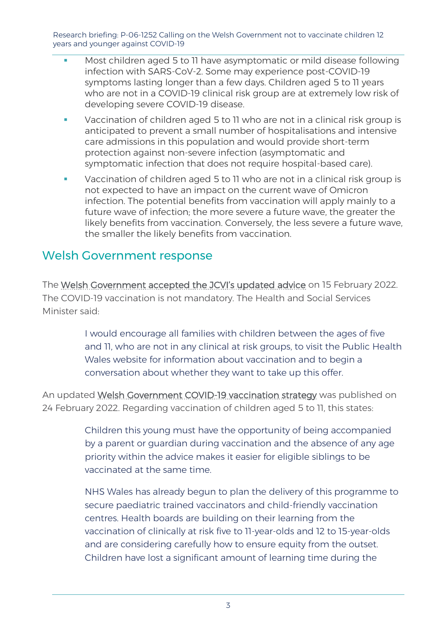Research briefing: P-06-1252 Calling on the Welsh Government not to vaccinate children 12 years and younger against COVID-19

- Most children aged 5 to 11 have asymptomatic or mild disease following infection with SARS-CoV-2. Some may experience post-COVID-19 symptoms lasting longer than a few days. Children aged 5 to 11 years who are not in a COVID-19 clinical risk group are at extremely low risk of developing severe COVID-19 disease.
- Vaccination of children aged 5 to 11 who are not in a clinical risk group is anticipated to prevent a small number of hospitalisations and intensive care admissions in this population and would provide short-term protection against non-severe infection (asymptomatic and symptomatic infection that does not require hospital-based care).
- Vaccination of children aged 5 to 11 who are not in a clinical risk group is not expected to have an impact on the current wave of Omicron infection. The potential benefits from vaccination will apply mainly to a future wave of infection; the more severe a future wave, the greater the likely benefits from vaccination. Conversely, the less severe a future wave, the smaller the likely benefits from vaccination.

### Welsh Government response

The [Welsh Government accepted the JCVI's updated advice](https://gov.wales/written-statement-covid-19-vaccinations-five-11-year-olds-0) on 15 February 2022. The COVID-19 vaccination is not mandatory. The Health and Social Services Minister said:

> I would encourage all families with children between the ages of five and 11, who are not in any clinical at risk groups, to visit the Public Health Wales website for information about vaccination and to begin a conversation about whether they want to take up this offer.

An updated [Welsh Government COVID-19 vaccination strategy](https://gov.wales/covid-19-vaccination-strategy) was published on 24 February 2022. Regarding vaccination of children aged 5 to 11, this states:

> Children this young must have the opportunity of being accompanied by a parent or guardian during vaccination and the absence of any age priority within the advice makes it easier for eligible siblings to be vaccinated at the same time.

NHS Wales has already begun to plan the delivery of this programme to secure paediatric trained vaccinators and child-friendly vaccination centres. Health boards are building on their learning from the vaccination of clinically at risk five to 11-year-olds and 12 to 15-year-olds and are considering carefully how to ensure equity from the outset. Children have lost a significant amount of learning time during the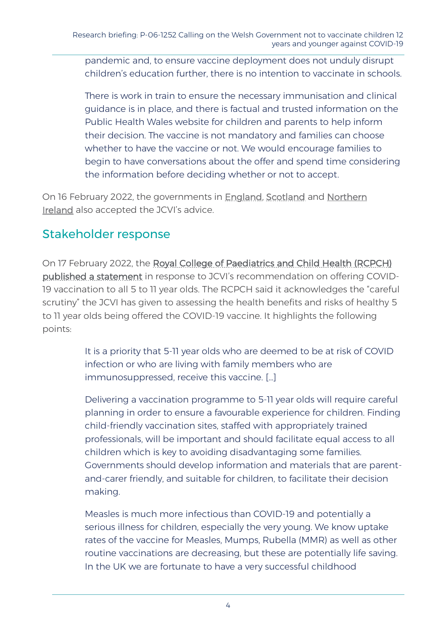pandemic and, to ensure vaccine deployment does not unduly disrupt children's education further, there is no intention to vaccinate in schools.

There is work in train to ensure the necessary immunisation and clinical guidance is in place, and there is factual and trusted information on the Public Health Wales website for children and parents to help inform their decision. The vaccine is not mandatory and families can choose whether to have the vaccine or not. We would encourage families to begin to have conversations about the offer and spend time considering the information before deciding whether or not to accept.

On 16 February 2022, the governments in [England](https://www.gov.uk/government/news/health-secretary-statement-on-covid-19-vaccines-for-five-to-11-year-olds), [Scotland](https://www.bbc.co.uk/news/uk-scotland-scotland-politics-60402499?at_medium=RSS&at_campaign=KARANGA) and [Northern](https://www.health-ni.gov.uk/news/vaccine-be-offered-5-11-year-olds)  [Ireland](https://www.health-ni.gov.uk/news/vaccine-be-offered-5-11-year-olds) also accepted the JCVI's advice.

### Stakeholder response

On 17 February 2022, the [Royal College of Paediatrics and Child Health \(RCPCH\)](https://www.rcpch.ac.uk/news-events/news/rcpch-statement-response-jcvi-advice-offering-covid-19-vaccination-all-5-11-year)  [published a statement](https://www.rcpch.ac.uk/news-events/news/rcpch-statement-response-jcvi-advice-offering-covid-19-vaccination-all-5-11-year) in response to JCVI's recommendation on offering COVID-19 vaccination to all 5 to 11 year olds. The RCPCH said it acknowledges the "careful scrutiny" the JCVI has given to assessing the health benefits and risks of healthy 5 to 11 year olds being offered the COVID-19 vaccine. It highlights the following points:

> It is a priority that 5-11 year olds who are deemed to be at risk of COVID infection or who are living with family members who are immunosuppressed, receive this vaccine. […]

Delivering a vaccination programme to 5-11 year olds will require careful planning in order to ensure a favourable experience for children. Finding child-friendly vaccination sites, staffed with appropriately trained professionals, will be important and should facilitate equal access to all children which is key to avoiding disadvantaging some families. Governments should develop information and materials that are parentand-carer friendly, and suitable for children, to facilitate their decision making.

Measles is much more infectious than COVID-19 and potentially a serious illness for children, especially the very young. We know uptake rates of the vaccine for Measles, Mumps, Rubella (MMR) as well as other routine vaccinations are decreasing, but these are potentially life saving. In the UK we are fortunate to have a very successful childhood